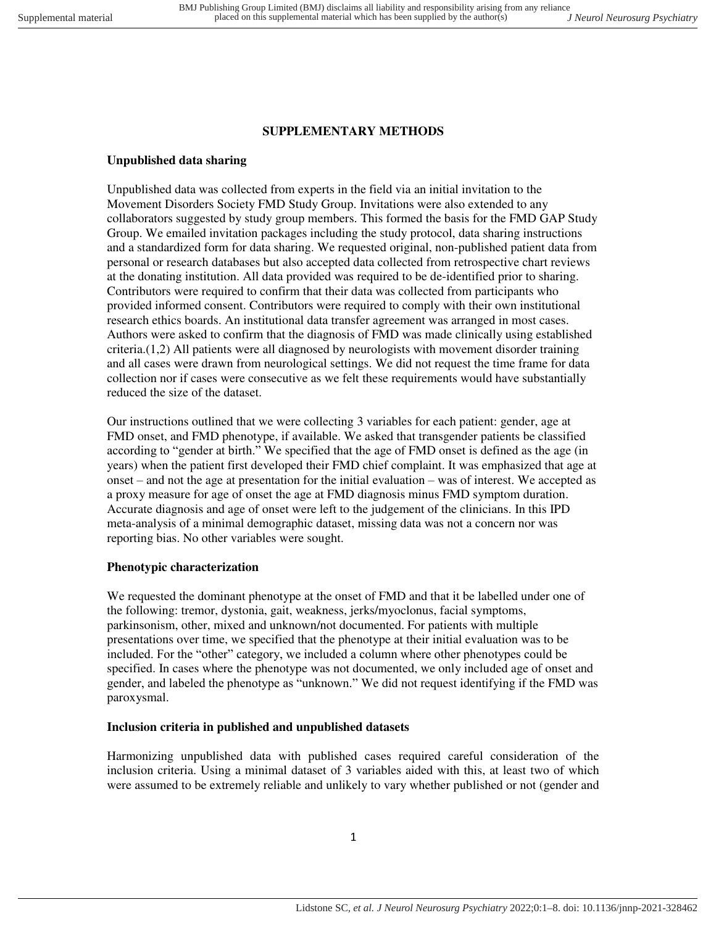# **SUPPLEMENTARY METHODS**

## **Unpublished data sharing**

Unpublished data was collected from experts in the field via an initial invitation to the Movement Disorders Society FMD Study Group. Invitations were also extended to any collaborators suggested by study group members. This formed the basis for the FMD GAP Study Group. We emailed invitation packages including the study protocol, data sharing instructions and a standardized form for data sharing. We requested original, non-published patient data from personal or research databases but also accepted data collected from retrospective chart reviews at the donating institution. All data provided was required to be de-identified prior to sharing. Contributors were required to confirm that their data was collected from participants who provided informed consent. Contributors were required to comply with their own institutional research ethics boards. An institutional data transfer agreement was arranged in most cases. Authors were asked to confirm that the diagnosis of FMD was made clinically using established criteria.(1,2) All patients were all diagnosed by neurologists with movement disorder training and all cases were drawn from neurological settings. We did not request the time frame for data collection nor if cases were consecutive as we felt these requirements would have substantially reduced the size of the dataset.

Our instructions outlined that we were collecting 3 variables for each patient: gender, age at FMD onset, and FMD phenotype, if available. We asked that transgender patients be classified according to "gender at birth." We specified that the age of FMD onset is defined as the age (in years) when the patient first developed their FMD chief complaint. It was emphasized that age at onset – and not the age at presentation for the initial evaluation – was of interest. We accepted as a proxy measure for age of onset the age at FMD diagnosis minus FMD symptom duration. Accurate diagnosis and age of onset were left to the judgement of the clinicians. In this IPD meta-analysis of a minimal demographic dataset, missing data was not a concern nor was reporting bias. No other variables were sought.

#### **Phenotypic characterization**

We requested the dominant phenotype at the onset of FMD and that it be labelled under one of the following: tremor, dystonia, gait, weakness, jerks/myoclonus, facial symptoms, parkinsonism, other, mixed and unknown/not documented. For patients with multiple presentations over time, we specified that the phenotype at their initial evaluation was to be included. For the "other" category, we included a column where other phenotypes could be specified. In cases where the phenotype was not documented, we only included age of onset and gender, and labeled the phenotype as "unknown." We did not request identifying if the FMD was paroxysmal.

#### **Inclusion criteria in published and unpublished datasets**

Harmonizing unpublished data with published cases required careful consideration of the inclusion criteria. Using a minimal dataset of 3 variables aided with this, at least two of which were assumed to be extremely reliable and unlikely to vary whether published or not (gender and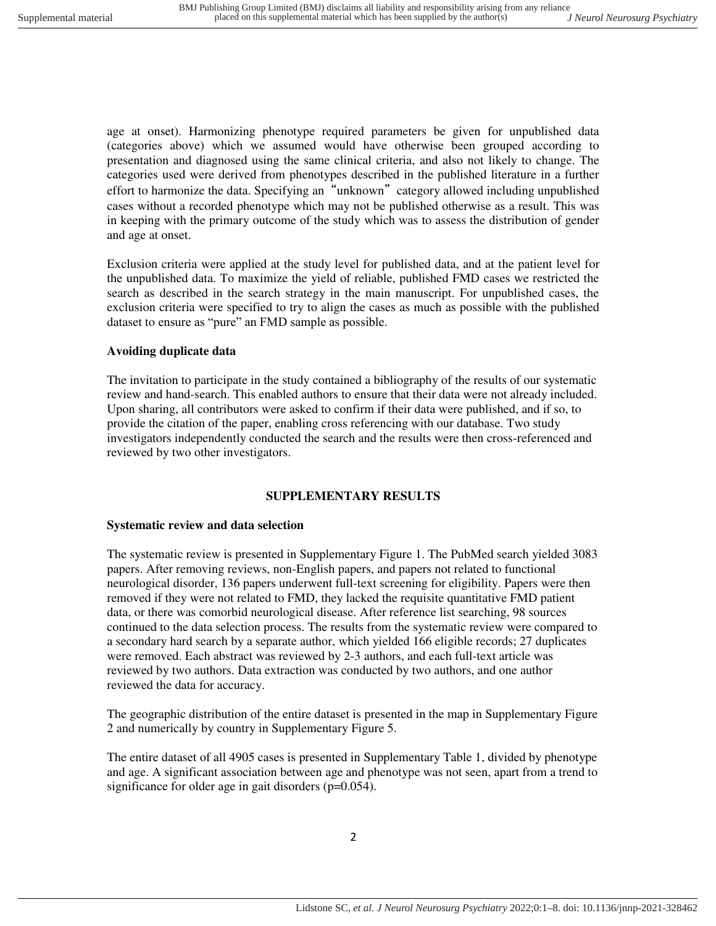age at onset). Harmonizing phenotype required parameters be given for unpublished data (categories above) which we assumed would have otherwise been grouped according to presentation and diagnosed using the same clinical criteria, and also not likely to change. The categories used were derived from phenotypes described in the published literature in a further effort to harmonize the data. Specifying an "unknown" category allowed including unpublished cases without a recorded phenotype which may not be published otherwise as a result. This was in keeping with the primary outcome of the study which was to assess the distribution of gender and age at onset.

Exclusion criteria were applied at the study level for published data, and at the patient level for the unpublished data. To maximize the yield of reliable, published FMD cases we restricted the search as described in the search strategy in the main manuscript. For unpublished cases, the exclusion criteria were specified to try to align the cases as much as possible with the published dataset to ensure as "pure" an FMD sample as possible.

## **Avoiding duplicate data**

The invitation to participate in the study contained a bibliography of the results of our systematic review and hand-search. This enabled authors to ensure that their data were not already included. Upon sharing, all contributors were asked to confirm if their data were published, and if so, to provide the citation of the paper, enabling cross referencing with our database. Two study investigators independently conducted the search and the results were then cross-referenced and reviewed by two other investigators.

#### **SUPPLEMENTARY RESULTS**

#### **Systematic review and data selection**

The systematic review is presented in Supplementary Figure 1. The PubMed search yielded 3083 papers. After removing reviews, non-English papers, and papers not related to functional neurological disorder, 136 papers underwent full-text screening for eligibility. Papers were then removed if they were not related to FMD, they lacked the requisite quantitative FMD patient data, or there was comorbid neurological disease. After reference list searching, 98 sources continued to the data selection process. The results from the systematic review were compared to a secondary hard search by a separate author, which yielded 166 eligible records; 27 duplicates were removed. Each abstract was reviewed by 2-3 authors, and each full-text article was reviewed by two authors. Data extraction was conducted by two authors, and one author reviewed the data for accuracy.

The geographic distribution of the entire dataset is presented in the map in Supplementary Figure 2 and numerically by country in Supplementary Figure 5.

The entire dataset of all 4905 cases is presented in Supplementary Table 1, divided by phenotype and age. A significant association between age and phenotype was not seen, apart from a trend to significance for older age in gait disorders (p=0.054).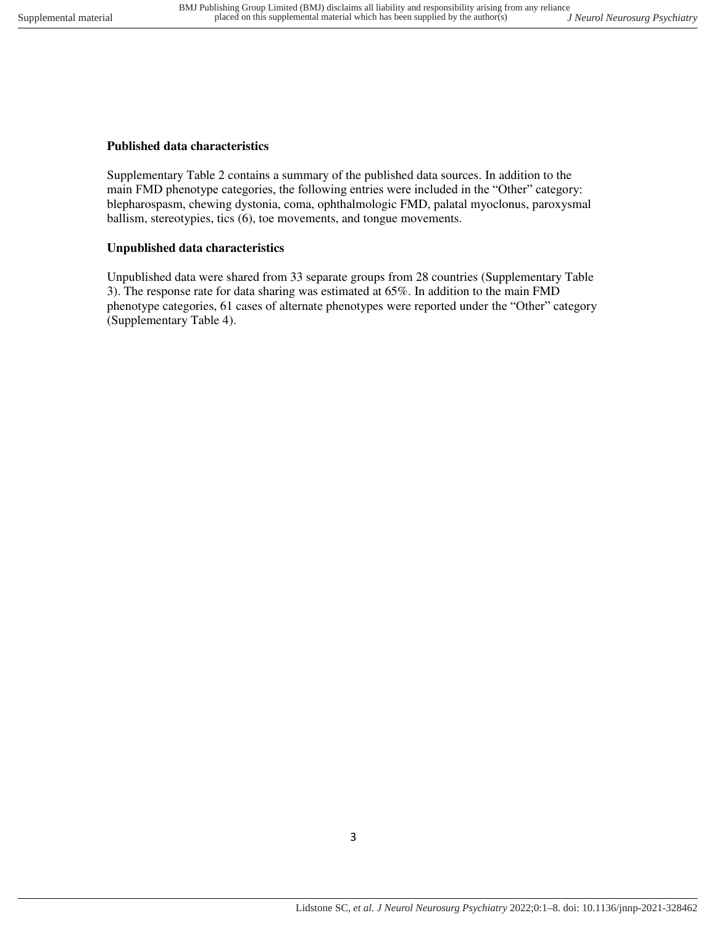### **Published data characteristics**

Supplementary Table 2 contains a summary of the published data sources. In addition to the main FMD phenotype categories, the following entries were included in the "Other" category: blepharospasm, chewing dystonia, coma, ophthalmologic FMD, palatal myoclonus, paroxysmal ballism, stereotypies, tics (6), toe movements, and tongue movements.

### **Unpublished data characteristics**

Unpublished data were shared from 33 separate groups from 28 countries (Supplementary Table 3). The response rate for data sharing was estimated at 65%. In addition to the main FMD phenotype categories, 61 cases of alternate phenotypes were reported under the "Other" category (Supplementary Table 4).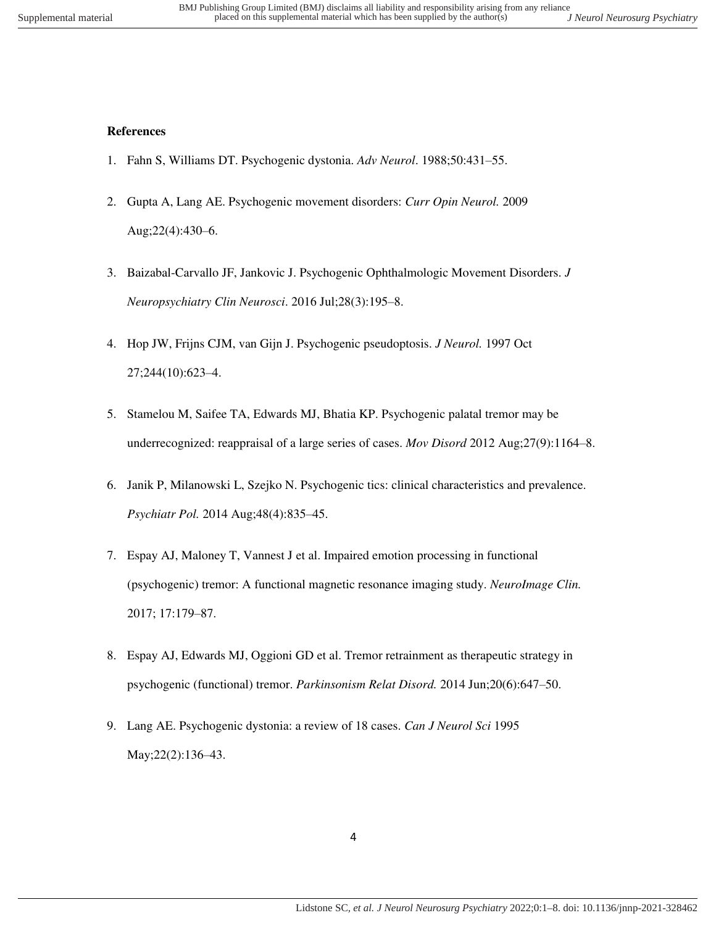### **References**

- 1. Fahn S, Williams DT. Psychogenic dystonia. *Adv Neurol*. 1988;50:431–55.
- 2. Gupta A, Lang AE. Psychogenic movement disorders: *Curr Opin Neurol.* 2009 Aug;22(4):430–6.
- 3. Baizabal-Carvallo JF, Jankovic J. Psychogenic Ophthalmologic Movement Disorders. *J Neuropsychiatry Clin Neurosci*. 2016 Jul;28(3):195–8.
- 4. Hop JW, Frijns CJM, van Gijn J. Psychogenic pseudoptosis. *J Neurol.* 1997 Oct 27;244(10):623–4.
- 5. Stamelou M, Saifee TA, Edwards MJ, Bhatia KP. Psychogenic palatal tremor may be underrecognized: reappraisal of a large series of cases. *Mov Disord* 2012 Aug;27(9):1164–8.
- 6. Janik P, Milanowski L, Szejko N. Psychogenic tics: clinical characteristics and prevalence. *Psychiatr Pol.* 2014 Aug;48(4):835–45.
- 7. Espay AJ, Maloney T, Vannest J et al. Impaired emotion processing in functional (psychogenic) tremor: A functional magnetic resonance imaging study. *NeuroImage Clin.*  2017; 17:179–87.
- 8. Espay AJ, Edwards MJ, Oggioni GD et al. Tremor retrainment as therapeutic strategy in psychogenic (functional) tremor. *Parkinsonism Relat Disord.* 2014 Jun;20(6):647–50.
- 9. Lang AE. Psychogenic dystonia: a review of 18 cases. *Can J Neurol Sci* 1995 May;22(2):136–43.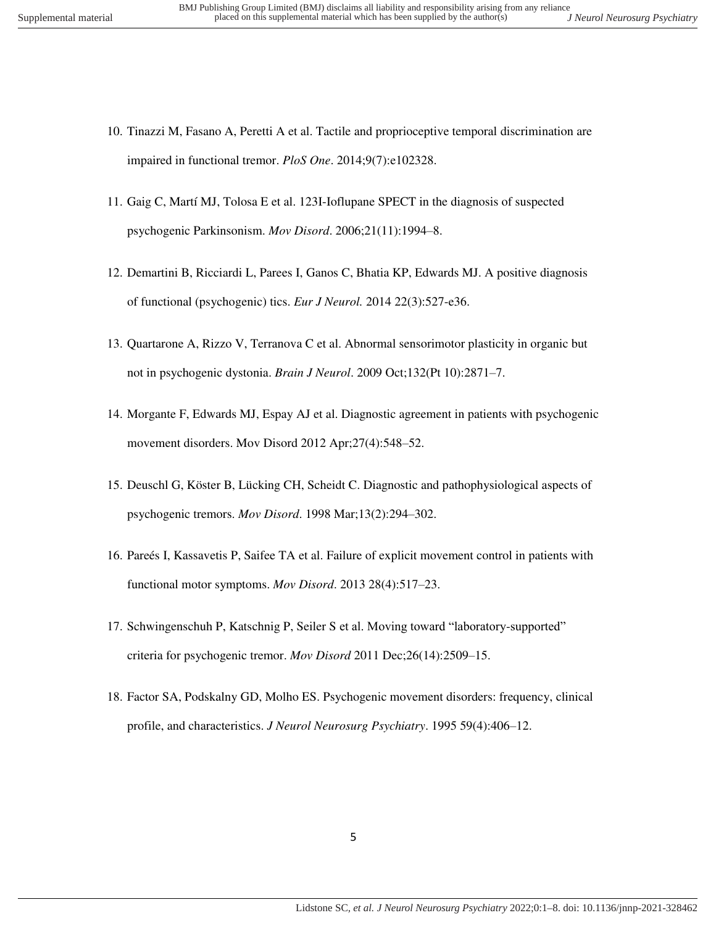- 10. Tinazzi M, Fasano A, Peretti A et al. Tactile and proprioceptive temporal discrimination are impaired in functional tremor. *PloS One*. 2014;9(7):e102328.
- 11. Gaig C, Martí MJ, Tolosa E et al. 123I-Ioflupane SPECT in the diagnosis of suspected psychogenic Parkinsonism. *Mov Disord*. 2006;21(11):1994–8.
- 12. Demartini B, Ricciardi L, Parees I, Ganos C, Bhatia KP, Edwards MJ. A positive diagnosis of functional (psychogenic) tics. *Eur J Neurol.* 2014 22(3):527-e36.
- 13. Quartarone A, Rizzo V, Terranova C et al. Abnormal sensorimotor plasticity in organic but not in psychogenic dystonia. *Brain J Neurol*. 2009 Oct;132(Pt 10):2871–7.
- 14. Morgante F, Edwards MJ, Espay AJ et al. Diagnostic agreement in patients with psychogenic movement disorders. Mov Disord 2012 Apr;27(4):548–52.
- 15. Deuschl G, Köster B, Lücking CH, Scheidt C. Diagnostic and pathophysiological aspects of psychogenic tremors. *Mov Disord*. 1998 Mar;13(2):294–302.
- 16. Pareés I, Kassavetis P, Saifee TA et al. Failure of explicit movement control in patients with functional motor symptoms. *Mov Disord*. 2013 28(4):517–23.
- 17. Schwingenschuh P, Katschnig P, Seiler S et al. Moving toward "laboratory-supported" criteria for psychogenic tremor. *Mov Disord* 2011 Dec;26(14):2509–15.
- 18. Factor SA, Podskalny GD, Molho ES. Psychogenic movement disorders: frequency, clinical profile, and characteristics. *J Neurol Neurosurg Psychiatry*. 1995 59(4):406–12.

5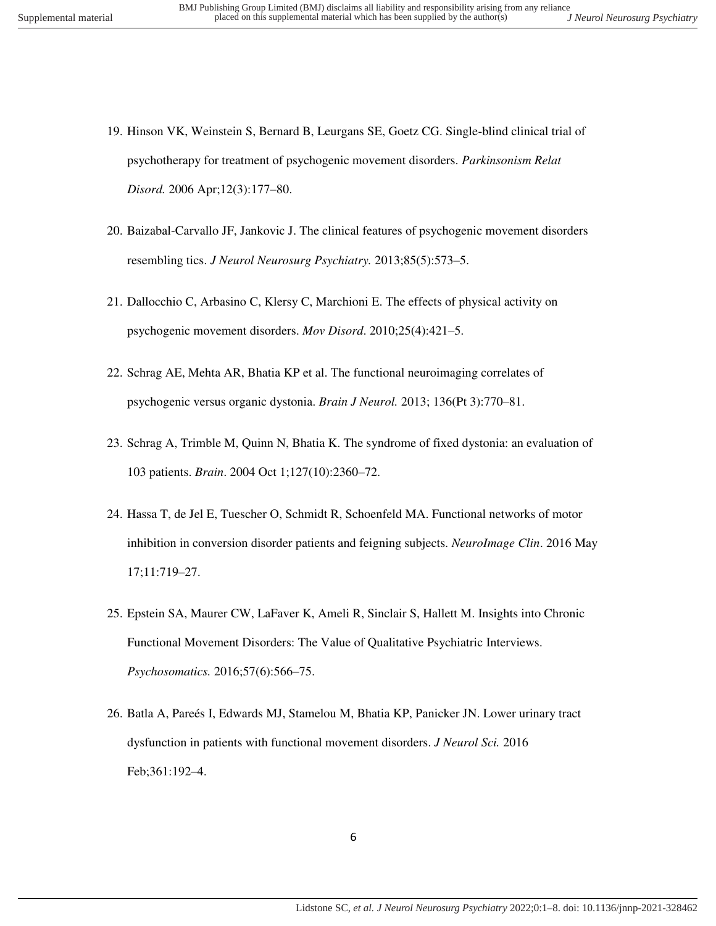- 19. Hinson VK, Weinstein S, Bernard B, Leurgans SE, Goetz CG. Single-blind clinical trial of psychotherapy for treatment of psychogenic movement disorders. *Parkinsonism Relat Disord.* 2006 Apr;12(3):177–80.
- 20. Baizabal-Carvallo JF, Jankovic J. The clinical features of psychogenic movement disorders resembling tics. *J Neurol Neurosurg Psychiatry.* 2013;85(5):573–5.
- 21. Dallocchio C, Arbasino C, Klersy C, Marchioni E. The effects of physical activity on psychogenic movement disorders. *Mov Disord*. 2010;25(4):421–5.
- 22. Schrag AE, Mehta AR, Bhatia KP et al. The functional neuroimaging correlates of psychogenic versus organic dystonia. *Brain J Neurol.* 2013; 136(Pt 3):770–81.
- 23. Schrag A, Trimble M, Quinn N, Bhatia K. The syndrome of fixed dystonia: an evaluation of 103 patients. *Brain*. 2004 Oct 1;127(10):2360–72.
- 24. Hassa T, de Jel E, Tuescher O, Schmidt R, Schoenfeld MA. Functional networks of motor inhibition in conversion disorder patients and feigning subjects. *NeuroImage Clin*. 2016 May 17;11:719–27.
- 25. Epstein SA, Maurer CW, LaFaver K, Ameli R, Sinclair S, Hallett M. Insights into Chronic Functional Movement Disorders: The Value of Qualitative Psychiatric Interviews. *Psychosomatics.* 2016;57(6):566–75.
- 26. Batla A, Pareés I, Edwards MJ, Stamelou M, Bhatia KP, Panicker JN. Lower urinary tract dysfunction in patients with functional movement disorders. *J Neurol Sci.* 2016 Feb;361:192–4.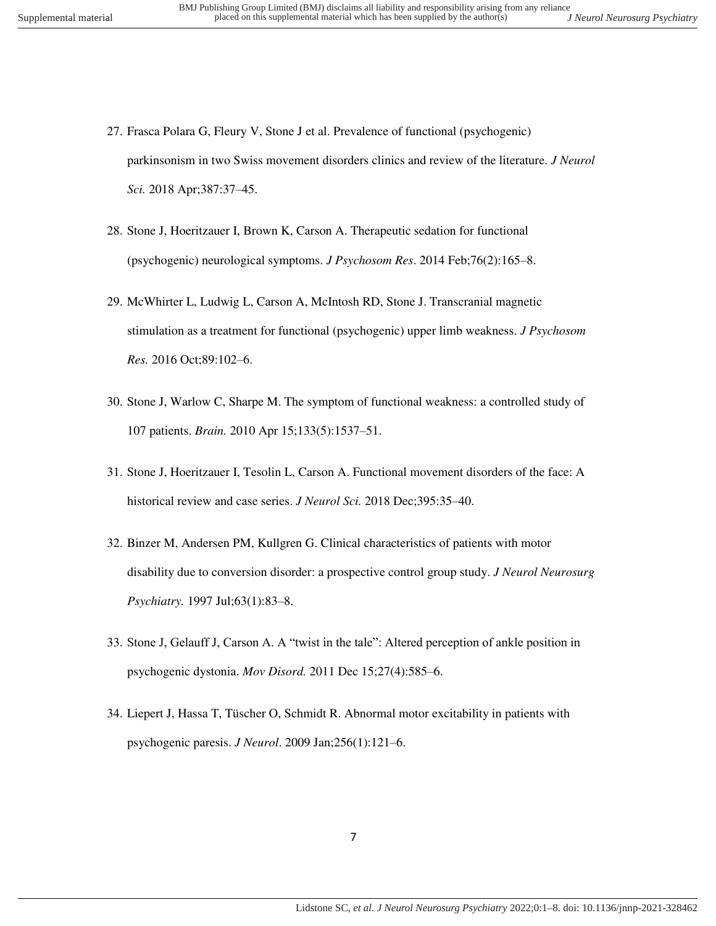- 27. Frasca Polara G, Fleury V, Stone J et al. Prevalence of functional (psychogenic) parkinsonism in two Swiss movement disorders clinics and review of the literature. *J Neurol Sci.* 2018 Apr;387:37–45.
- 28. Stone J, Hoeritzauer I, Brown K, Carson A. Therapeutic sedation for functional (psychogenic) neurological symptoms. *J Psychosom Res*. 2014 Feb;76(2):165–8.
- 29. McWhirter L, Ludwig L, Carson A, McIntosh RD, Stone J. Transcranial magnetic stimulation as a treatment for functional (psychogenic) upper limb weakness. *J Psychosom Res.* 2016 Oct;89:102–6.
- 30. Stone J, Warlow C, Sharpe M. The symptom of functional weakness: a controlled study of 107 patients. *Brain.* 2010 Apr 15;133(5):1537–51.
- 31. Stone J, Hoeritzauer I, Tesolin L, Carson A. Functional movement disorders of the face: A historical review and case series. *J Neurol Sci.* 2018 Dec;395:35–40.
- 32. Binzer M, Andersen PM, Kullgren G. Clinical characteristics of patients with motor disability due to conversion disorder: a prospective control group study. *J Neurol Neurosurg Psychiatry.* 1997 Jul;63(1):83–8.
- 33. Stone J, Gelauff J, Carson A. A "twist in the tale": Altered perception of ankle position in psychogenic dystonia. *Mov Disord.* 2011 Dec 15;27(4):585–6.
- 34. Liepert J, Hassa T, Tüscher O, Schmidt R. Abnormal motor excitability in patients with psychogenic paresis. *J Neurol*. 2009 Jan;256(1):121–6.

7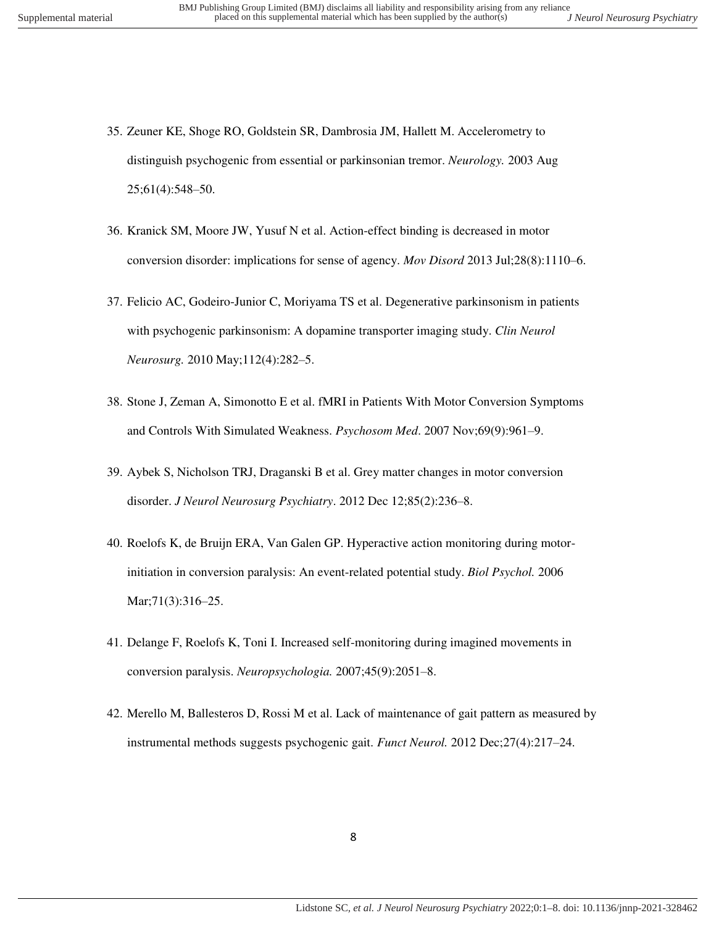- 35. Zeuner KE, Shoge RO, Goldstein SR, Dambrosia JM, Hallett M. Accelerometry to distinguish psychogenic from essential or parkinsonian tremor. *Neurology.* 2003 Aug 25;61(4):548–50.
- 36. Kranick SM, Moore JW, Yusuf N et al. Action-effect binding is decreased in motor conversion disorder: implications for sense of agency. *Mov Disord* 2013 Jul;28(8):1110–6.
- 37. Felicio AC, Godeiro-Junior C, Moriyama TS et al. Degenerative parkinsonism in patients with psychogenic parkinsonism: A dopamine transporter imaging study. *Clin Neurol Neurosurg.* 2010 May;112(4):282–5.
- 38. Stone J, Zeman A, Simonotto E et al. fMRI in Patients With Motor Conversion Symptoms and Controls With Simulated Weakness. *Psychosom Med*. 2007 Nov;69(9):961–9.
- 39. Aybek S, Nicholson TRJ, Draganski B et al. Grey matter changes in motor conversion disorder. *J Neurol Neurosurg Psychiatry*. 2012 Dec 12;85(2):236–8.
- 40. Roelofs K, de Bruijn ERA, Van Galen GP. Hyperactive action monitoring during motorinitiation in conversion paralysis: An event-related potential study. *Biol Psychol.* 2006 Mar;71(3):316–25.
- 41. Delange F, Roelofs K, Toni I. Increased self-monitoring during imagined movements in conversion paralysis. *Neuropsychologia.* 2007;45(9):2051–8.
- 42. Merello M, Ballesteros D, Rossi M et al. Lack of maintenance of gait pattern as measured by instrumental methods suggests psychogenic gait. *Funct Neurol.* 2012 Dec;27(4):217–24.

8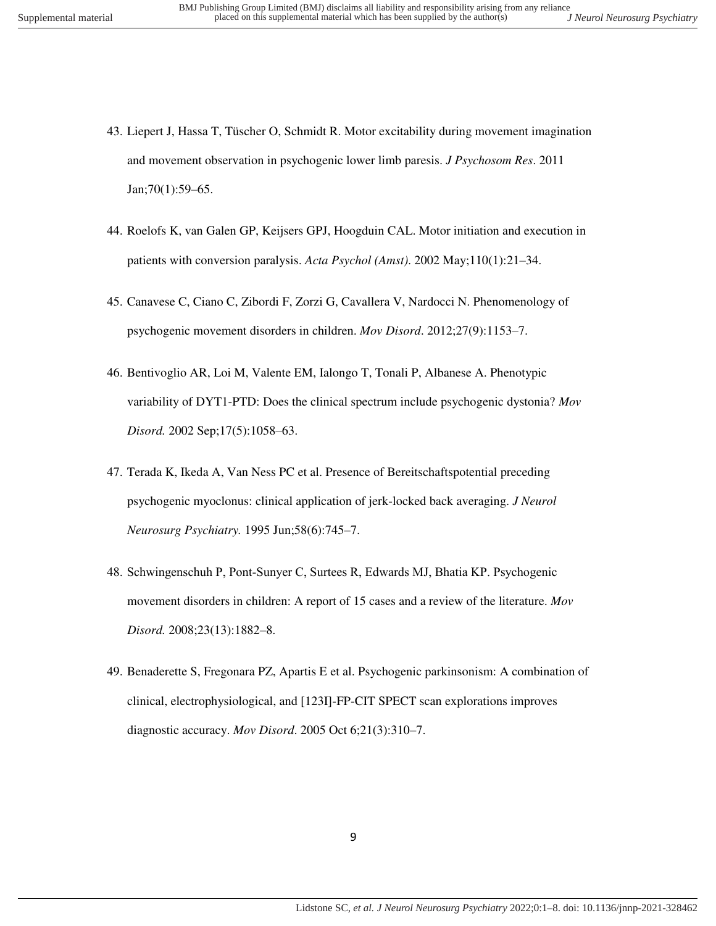- 43. Liepert J, Hassa T, Tüscher O, Schmidt R. Motor excitability during movement imagination and movement observation in psychogenic lower limb paresis. *J Psychosom Res*. 2011 Jan;70(1):59–65.
- 44. Roelofs K, van Galen GP, Keijsers GPJ, Hoogduin CAL. Motor initiation and execution in patients with conversion paralysis. *Acta Psychol (Amst)*. 2002 May;110(1):21–34.
- 45. Canavese C, Ciano C, Zibordi F, Zorzi G, Cavallera V, Nardocci N. Phenomenology of psychogenic movement disorders in children. *Mov Disord*. 2012;27(9):1153–7.
- 46. Bentivoglio AR, Loi M, Valente EM, Ialongo T, Tonali P, Albanese A. Phenotypic variability of DYT1-PTD: Does the clinical spectrum include psychogenic dystonia? *Mov Disord.* 2002 Sep;17(5):1058–63.
- 47. Terada K, Ikeda A, Van Ness PC et al. Presence of Bereitschaftspotential preceding psychogenic myoclonus: clinical application of jerk-locked back averaging. *J Neurol Neurosurg Psychiatry.* 1995 Jun;58(6):745–7.
- 48. Schwingenschuh P, Pont‐Sunyer C, Surtees R, Edwards MJ, Bhatia KP. Psychogenic movement disorders in children: A report of 15 cases and a review of the literature. *Mov Disord.* 2008;23(13):1882–8.
- 49. Benaderette S, Fregonara PZ, Apartis E et al. Psychogenic parkinsonism: A combination of clinical, electrophysiological, and [123I]-FP-CIT SPECT scan explorations improves diagnostic accuracy. *Mov Disord*. 2005 Oct 6;21(3):310–7.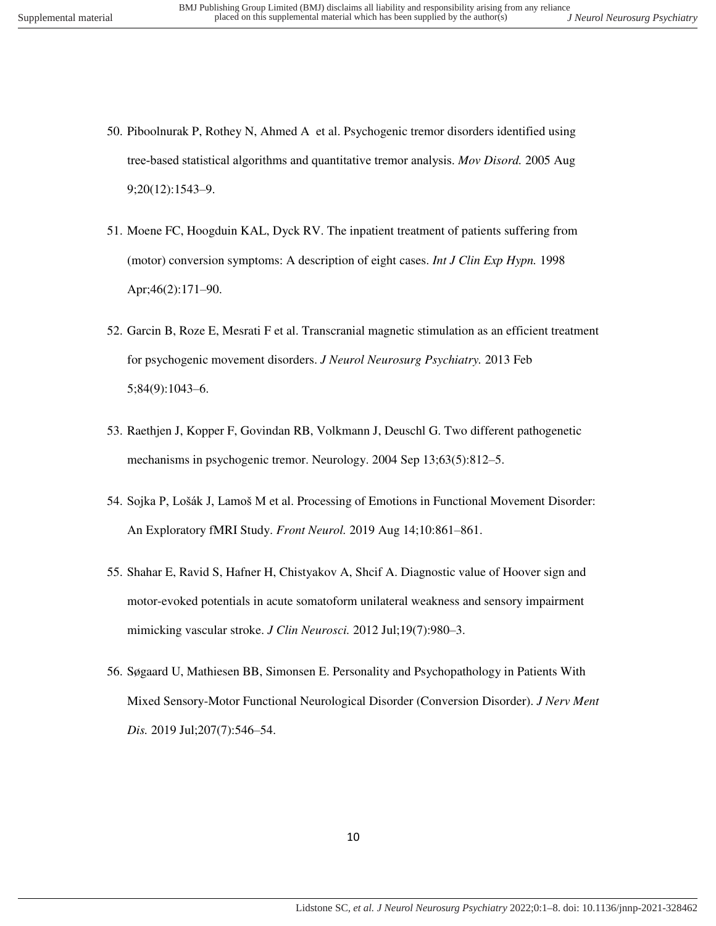- 50. Piboolnurak P, Rothey N, Ahmed A et al. Psychogenic tremor disorders identified using tree‐based statistical algorithms and quantitative tremor analysis. *Mov Disord.* 2005 Aug 9;20(12):1543–9.
- 51. Moene FC, Hoogduin KAL, Dyck RV. The inpatient treatment of patients suffering from (motor) conversion symptoms: A description of eight cases. *Int J Clin Exp Hypn.* 1998 Apr;46(2):171–90.
- 52. Garcin B, Roze E, Mesrati F et al. Transcranial magnetic stimulation as an efficient treatment for psychogenic movement disorders. *J Neurol Neurosurg Psychiatry.* 2013 Feb 5;84(9):1043–6.
- 53. Raethjen J, Kopper F, Govindan RB, Volkmann J, Deuschl G. Two different pathogenetic mechanisms in psychogenic tremor. Neurology. 2004 Sep 13;63(5):812–5.
- 54. Sojka P, Lošák J, Lamoš M et al. Processing of Emotions in Functional Movement Disorder: An Exploratory fMRI Study. *Front Neurol.* 2019 Aug 14;10:861–861.
- 55. Shahar E, Ravid S, Hafner H, Chistyakov A, Shcif A. Diagnostic value of Hoover sign and motor-evoked potentials in acute somatoform unilateral weakness and sensory impairment mimicking vascular stroke. *J Clin Neurosci.* 2012 Jul;19(7):980–3.
- 56. Søgaard U, Mathiesen BB, Simonsen E. Personality and Psychopathology in Patients With Mixed Sensory-Motor Functional Neurological Disorder (Conversion Disorder). *J Nerv Ment Dis.* 2019 Jul;207(7):546–54.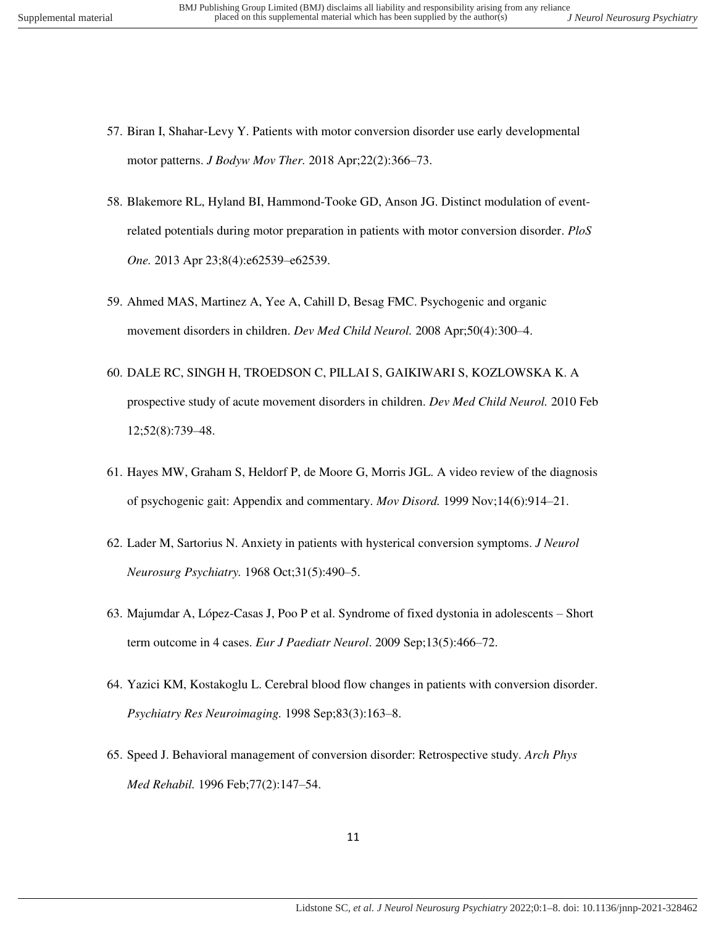- 
- 57. Biran I, Shahar-Levy Y. Patients with motor conversion disorder use early developmental motor patterns. *J Bodyw Mov Ther.* 2018 Apr;22(2):366–73.
- 58. Blakemore RL, Hyland BI, Hammond-Tooke GD, Anson JG. Distinct modulation of eventrelated potentials during motor preparation in patients with motor conversion disorder. *PloS One.* 2013 Apr 23;8(4):e62539–e62539.
- 59. Ahmed MAS, Martinez A, Yee A, Cahill D, Besag FMC. Psychogenic and organic movement disorders in children. *Dev Med Child Neurol.* 2008 Apr;50(4):300–4.
- 60. DALE RC, SINGH H, TROEDSON C, PILLAI S, GAIKIWARI S, KOZLOWSKA K. A prospective study of acute movement disorders in children. *Dev Med Child Neurol.* 2010 Feb 12;52(8):739–48.
- 61. Hayes MW, Graham S, Heldorf P, de Moore G, Morris JGL. A video review of the diagnosis of psychogenic gait: Appendix and commentary. *Mov Disord.* 1999 Nov;14(6):914–21.
- 62. Lader M, Sartorius N. Anxiety in patients with hysterical conversion symptoms. *J Neurol Neurosurg Psychiatry.* 1968 Oct;31(5):490–5.
- 63. Majumdar A, López-Casas J, Poo P et al. Syndrome of fixed dystonia in adolescents Short term outcome in 4 cases. *Eur J Paediatr Neurol*. 2009 Sep;13(5):466–72.
- 64. Yazici KM, Kostakoglu L. Cerebral blood flow changes in patients with conversion disorder. *Psychiatry Res Neuroimaging.* 1998 Sep;83(3):163–8.
- 65. Speed J. Behavioral management of conversion disorder: Retrospective study. *Arch Phys Med Rehabil.* 1996 Feb;77(2):147–54.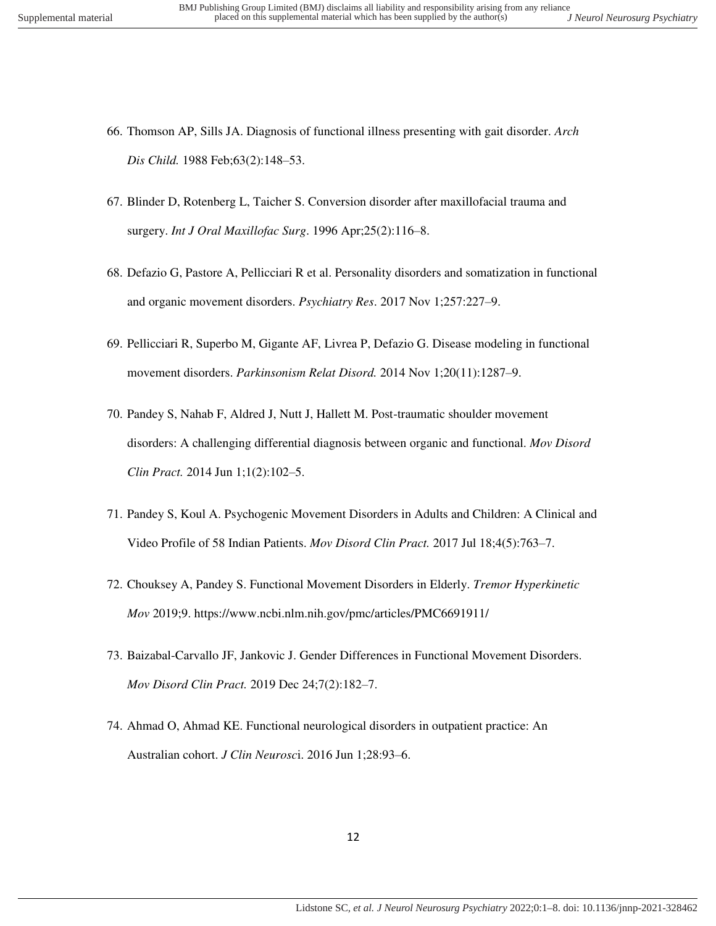- 66. Thomson AP, Sills JA. Diagnosis of functional illness presenting with gait disorder. *Arch Dis Child.* 1988 Feb;63(2):148–53.
- 67. Blinder D, Rotenberg L, Taicher S. Conversion disorder after maxillofacial trauma and surgery. *Int J Oral Maxillofac Surg*. 1996 Apr;25(2):116–8.
- 68. Defazio G, Pastore A, Pellicciari R et al. Personality disorders and somatization in functional and organic movement disorders. *Psychiatry Res*. 2017 Nov 1;257:227–9.
- 69. Pellicciari R, Superbo M, Gigante AF, Livrea P, Defazio G. Disease modeling in functional movement disorders. *Parkinsonism Relat Disord.* 2014 Nov 1;20(11):1287–9.
- 70. Pandey S, Nahab F, Aldred J, Nutt J, Hallett M. Post-traumatic shoulder movement disorders: A challenging differential diagnosis between organic and functional. *Mov Disord Clin Pract.* 2014 Jun 1;1(2):102–5.
- 71. Pandey S, Koul A. Psychogenic Movement Disorders in Adults and Children: A Clinical and Video Profile of 58 Indian Patients. *Mov Disord Clin Pract.* 2017 Jul 18;4(5):763–7.
- 72. Chouksey A, Pandey S. Functional Movement Disorders in Elderly. *Tremor Hyperkinetic Mov* 2019;9. https://www.ncbi.nlm.nih.gov/pmc/articles/PMC6691911/
- 73. Baizabal-Carvallo JF, Jankovic J. Gender Differences in Functional Movement Disorders. *Mov Disord Clin Pract.* 2019 Dec 24;7(2):182–7.
- 74. Ahmad O, Ahmad KE. Functional neurological disorders in outpatient practice: An Australian cohort. *J Clin Neurosc*i. 2016 Jun 1;28:93–6.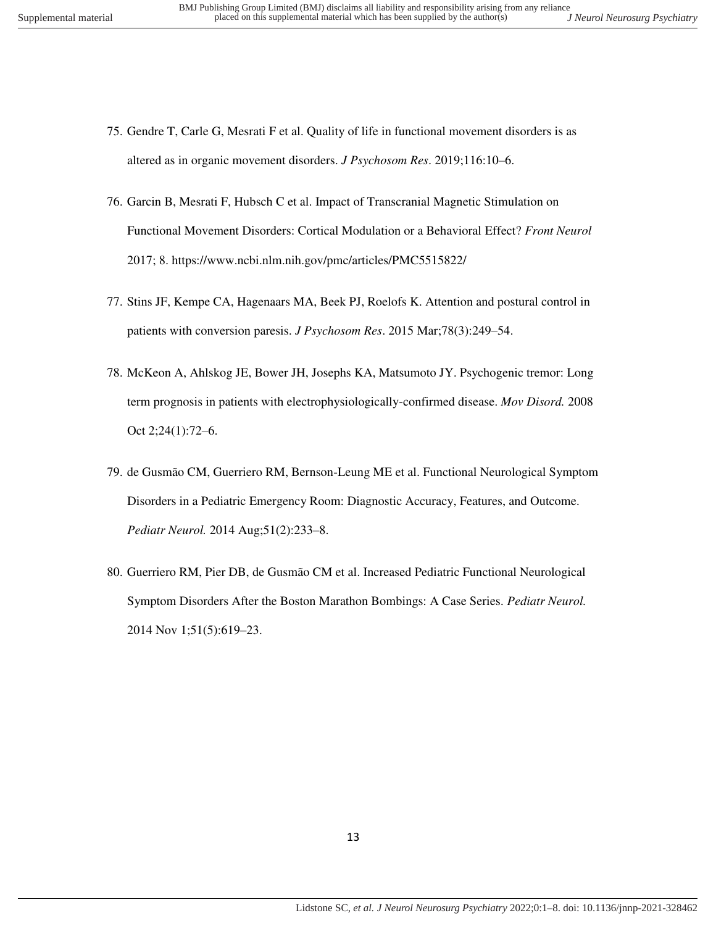- 75. Gendre T, Carle G, Mesrati F et al. Quality of life in functional movement disorders is as altered as in organic movement disorders. *J Psychosom Res*. 2019;116:10–6.
- 76. Garcin B, Mesrati F, Hubsch C et al. Impact of Transcranial Magnetic Stimulation on Functional Movement Disorders: Cortical Modulation or a Behavioral Effect? *Front Neurol* 2017; 8. https://www.ncbi.nlm.nih.gov/pmc/articles/PMC5515822/
- 77. Stins JF, Kempe CA, Hagenaars MA, Beek PJ, Roelofs K. Attention and postural control in patients with conversion paresis. *J Psychosom Res*. 2015 Mar;78(3):249–54.
- 78. McKeon A, Ahlskog JE, Bower JH, Josephs KA, Matsumoto JY. Psychogenic tremor: Long term prognosis in patients with electrophysiologically-confirmed disease. *Mov Disord.* 2008 Oct 2;24(1):72–6.
- 79. de Gusmão CM, Guerriero RM, Bernson-Leung ME et al. Functional Neurological Symptom Disorders in a Pediatric Emergency Room: Diagnostic Accuracy, Features, and Outcome. *Pediatr Neurol.* 2014 Aug;51(2):233–8.
- 80. Guerriero RM, Pier DB, de Gusmão CM et al. Increased Pediatric Functional Neurological Symptom Disorders After the Boston Marathon Bombings: A Case Series. *Pediatr Neurol.* 2014 Nov 1;51(5):619–23.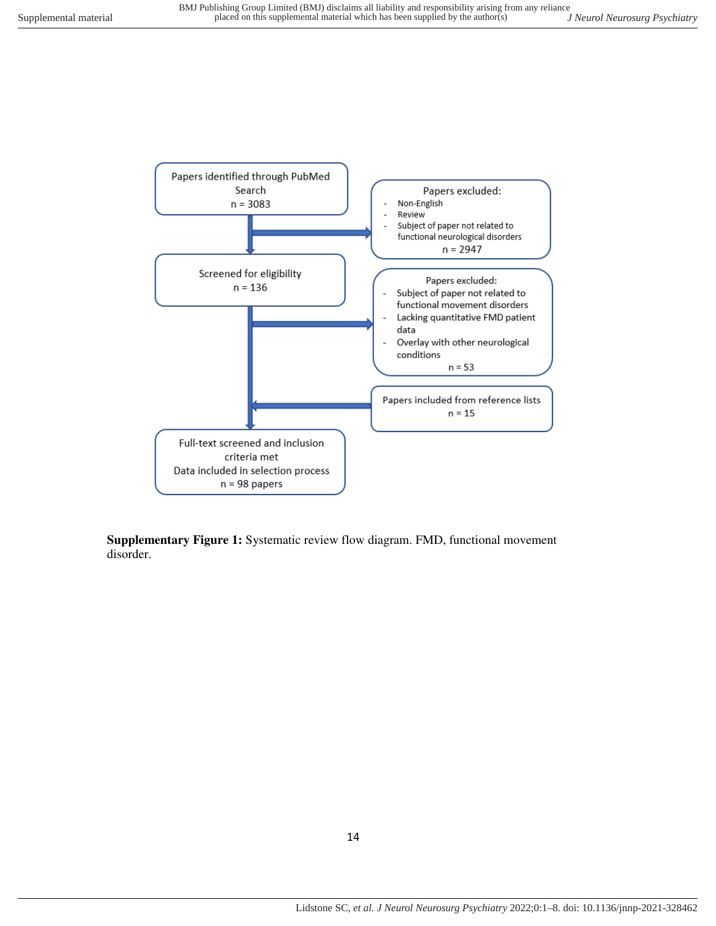

**Supplementary Figure 1:** Systematic review flow diagram. FMD, functional movement disorder.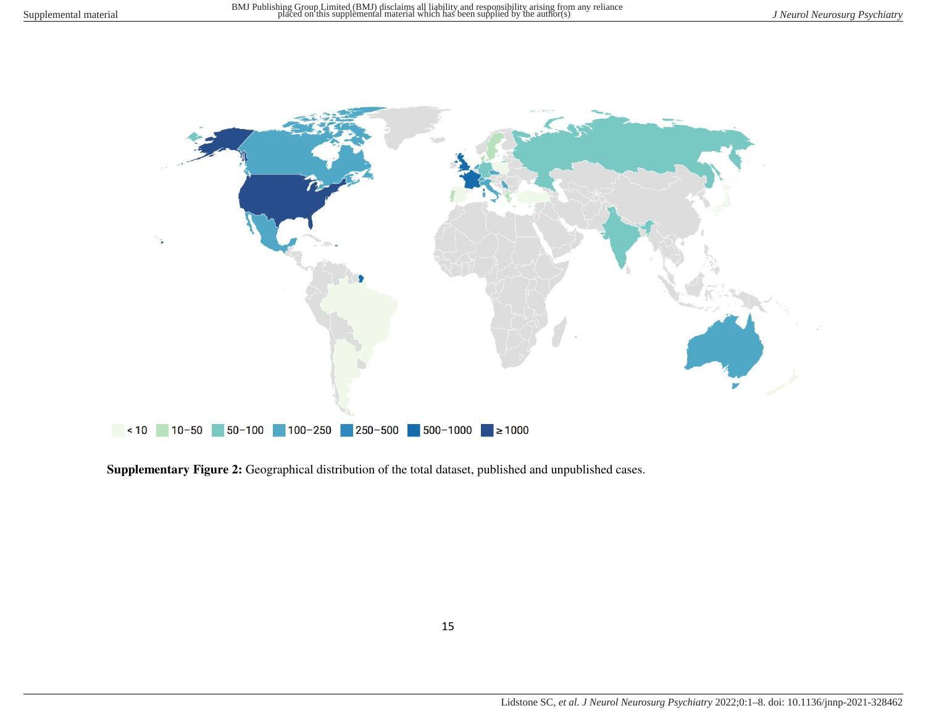

**Supplementary Figure 2:** Geographical distribution of the total dataset, published and unpublished cases.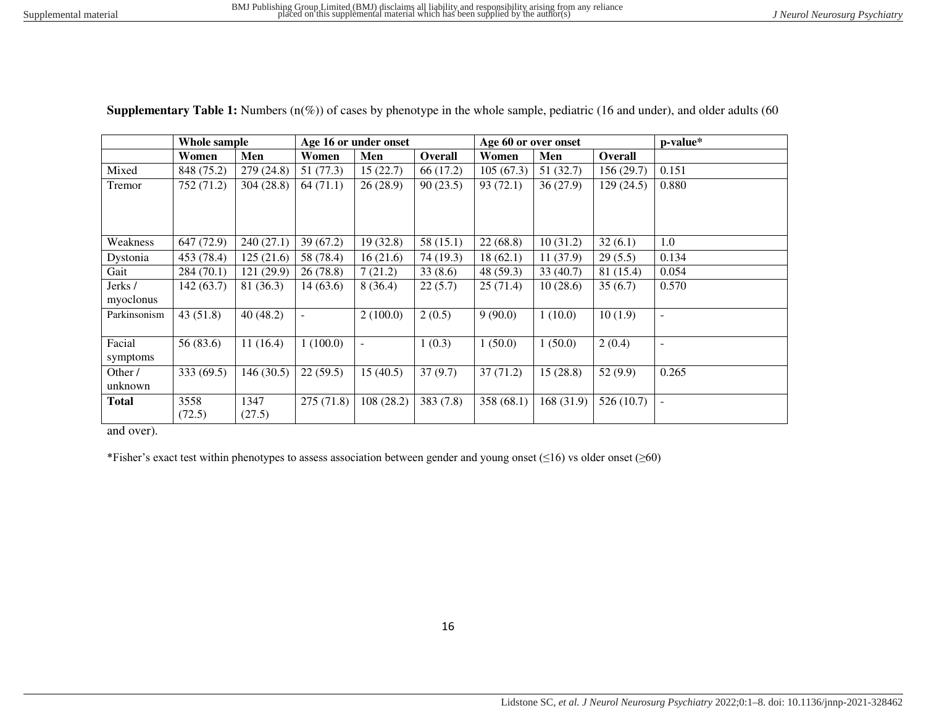| <b>Supplementary Table 1:</b> Numbers $(n(\%))$ of cases by phenotype in the whole sample, pediatric (16 and under), and older adults (60 |  |  |  |  |  |  |
|-------------------------------------------------------------------------------------------------------------------------------------------|--|--|--|--|--|--|
|                                                                                                                                           |  |  |  |  |  |  |

|              | Whole sample |            | Age 16 or under onset |                |           | Age 60 or over onset |            |                | p-value*                 |
|--------------|--------------|------------|-----------------------|----------------|-----------|----------------------|------------|----------------|--------------------------|
|              | Women        | Men        | Women                 | Men            | Overall   | Women                | Men        | <b>Overall</b> |                          |
| Mixed        | 848 (75.2)   | 279(24.8)  | 51 (77.3)             | 15(22.7)       | 66 (17.2) | 105(67.3)            | 51(32.7)   | 156(29.7)      | 0.151                    |
| Tremor       | 752 (71.2)   | 304(28.8)  | 64(71.1)              | 26(28.9)       | 90(23.5)  | 93(72.1)             | 36(27.9)   | 129(24.5)      | 0.880                    |
|              |              |            |                       |                |           |                      |            |                |                          |
|              |              |            |                       |                |           |                      |            |                |                          |
|              |              |            |                       |                |           |                      |            |                |                          |
| Weakness     | 647 (72.9)   | 240(27.1)  | 39(67.2)              | 19(32.8)       | 58(15.1)  | 22(68.8)             | 10(31.2)   | 32(6.1)        | 1.0                      |
| Dystonia     | 453 (78.4)   | 125(21.6)  | 58 (78.4)             | 16(21.6)       | 74 (19.3) | 18(62.1)             | 11(37.9)   | 29(5.5)        | 0.134                    |
| Gait         | 284(70.1)    | 121 (29.9) | 26(78.8)              | 7(21.2)        | 33(8.6)   | 48 (59.3)            | 33 (40.7)  | 81 (15.4)      | 0.054                    |
| Jerks /      | 142 (63.7)   | 81 (36.3)  | 14(63.6)              | 8(36.4)        | 22(5.7)   | 25(71.4)             | 10(28.6)   | 35(6.7)        | 0.570                    |
| myoclonus    |              |            |                       |                |           |                      |            |                |                          |
| Parkinsonism | 43(51.8)     | 40(48.2)   |                       | 2(100.0)       | 2(0.5)    | 9(90.0)              | 1(10.0)    | 10(1.9)        | $\overline{\phantom{a}}$ |
|              |              |            |                       |                |           |                      |            |                |                          |
| Facial       | 56 (83.6)    | 11(16.4)   | 1(100.0)              | $\blacksquare$ | 1(0.3)    | 1(50.0)              | 1(50.0)    | 2(0.4)         | $\blacksquare$           |
| symptoms     |              |            |                       |                |           |                      |            |                |                          |
| Other /      | 333 (69.5)   | 146(30.5)  | 22(59.5)              | 15(40.5)       | 37(9.7)   | 37(71.2)             | 15(28.8)   | 52(9.9)        | 0.265                    |
| unknown      |              |            |                       |                |           |                      |            |                |                          |
| <b>Total</b> | 3558         | 1347       | 275(71.8)             | 108(28.2)      | 383(7.8)  | 358 (68.1)           | 168 (31.9) | 526(10.7)      | $\overline{a}$           |
|              | (72.5)       | (27.5)     |                       |                |           |                      |            |                |                          |

and over).

\*Fisher"s exact test within phenotypes to assess association between gender and young onset (≤16) vs older onset (≥60)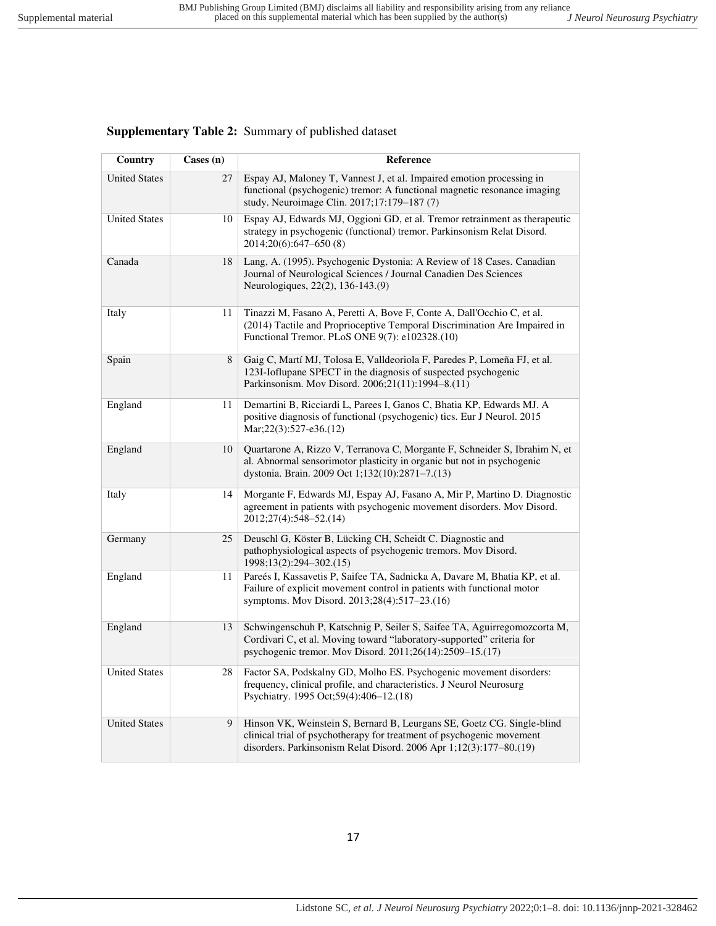# **Supplementary Table 2:** Summary of published dataset

| Country              | $\text{Cases} \left( \text{n} \right)$ | Reference                                                                                                                                                                                                             |
|----------------------|----------------------------------------|-----------------------------------------------------------------------------------------------------------------------------------------------------------------------------------------------------------------------|
| <b>United States</b> | 27                                     | Espay AJ, Maloney T, Vannest J, et al. Impaired emotion processing in<br>functional (psychogenic) tremor: A functional magnetic resonance imaging<br>study. Neuroimage Clin. 2017;17:179-187 (7)                      |
| <b>United States</b> | 10                                     | Espay AJ, Edwards MJ, Oggioni GD, et al. Tremor retrainment as therapeutic<br>strategy in psychogenic (functional) tremor. Parkinsonism Relat Disord.<br>2014;20(6):647-650(8)                                        |
| Canada               | 18                                     | Lang, A. (1995). Psychogenic Dystonia: A Review of 18 Cases. Canadian<br>Journal of Neurological Sciences / Journal Canadien Des Sciences<br>Neurologiques, 22(2), 136-143.(9)                                        |
| Italy                | 11                                     | Tinazzi M, Fasano A, Peretti A, Bove F, Conte A, Dall'Occhio C, et al.<br>(2014) Tactile and Proprioceptive Temporal Discrimination Are Impaired in<br>Functional Tremor. PLoS ONE 9(7): e102328.(10)                 |
| Spain                | 8                                      | Gaig C, Martí MJ, Tolosa E, Valldeoriola F, Paredes P, Lomeña FJ, et al.<br>123I-Ioflupane SPECT in the diagnosis of suspected psychogenic<br>Parkinsonism. Mov Disord. 2006;21(11):1994-8.(11)                       |
| England              | 11                                     | Demartini B, Ricciardi L, Parees I, Ganos C, Bhatia KP, Edwards MJ. A<br>positive diagnosis of functional (psychogenic) tics. Eur J Neurol. 2015<br>Mar; 22(3): 527-e36. (12)                                         |
| England              | 10                                     | Quartarone A, Rizzo V, Terranova C, Morgante F, Schneider S, Ibrahim N, et<br>al. Abnormal sensorimotor plasticity in organic but not in psychogenic<br>dystonia. Brain. 2009 Oct 1;132(10):2871-7.(13)               |
| Italy                | 14                                     | Morgante F, Edwards MJ, Espay AJ, Fasano A, Mir P, Martino D. Diagnostic<br>agreement in patients with psychogenic movement disorders. Mov Disord.<br>2012;27(4):548-52.(14)                                          |
| Germany              | 25                                     | Deuschl G, Köster B, Lücking CH, Scheidt C. Diagnostic and<br>pathophysiological aspects of psychogenic tremors. Mov Disord.<br>1998;13(2):294-302.(15)                                                               |
| England              | 11                                     | Pareés I, Kassavetis P, Saifee TA, Sadnicka A, Davare M, Bhatia KP, et al.<br>Failure of explicit movement control in patients with functional motor<br>symptoms. Mov Disord. 2013;28(4):517-23.(16)                  |
| England              | 13                                     | Schwingenschuh P, Katschnig P, Seiler S, Saifee TA, Aguirregomozcorta M,<br>Cordivari C, et al. Moving toward "laboratory-supported" criteria for<br>psychogenic tremor. Mov Disord. 2011;26(14):2509-15.(17)         |
| <b>United States</b> | 28                                     | Factor SA, Podskalny GD, Molho ES. Psychogenic movement disorders:<br>frequency, clinical profile, and characteristics. J Neurol Neurosurg<br>Psychiatry. 1995 Oct;59(4):406-12.(18)                                  |
| <b>United States</b> | 9                                      | Hinson VK, Weinstein S, Bernard B, Leurgans SE, Goetz CG. Single-blind<br>clinical trial of psychotherapy for treatment of psychogenic movement<br>disorders. Parkinsonism Relat Disord. 2006 Apr 1;12(3):177-80.(19) |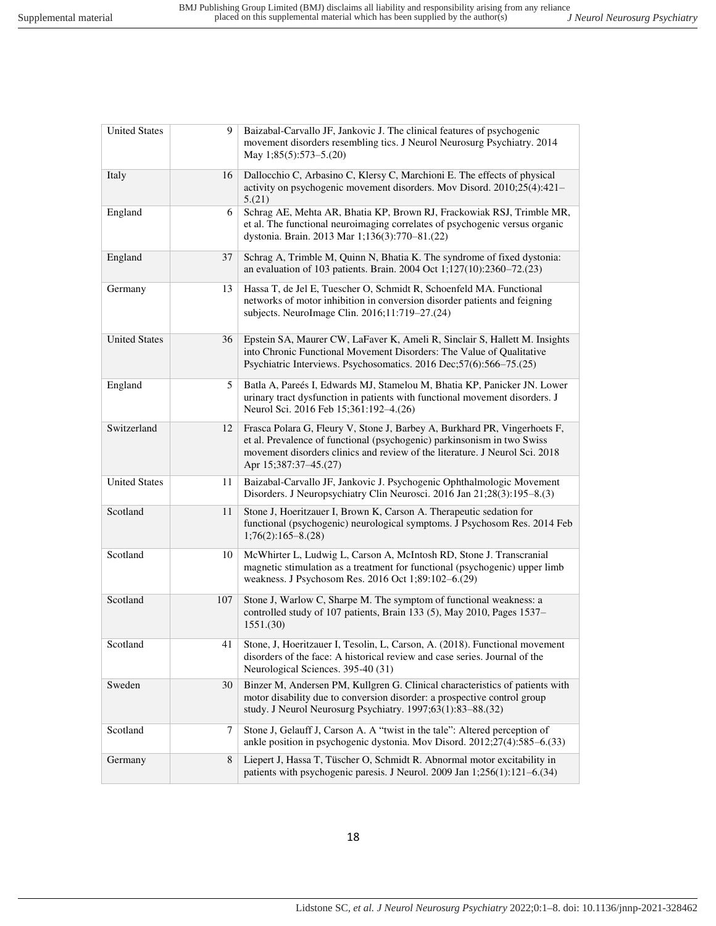| <b>United States</b> | 9   | Baizabal-Carvallo JF, Jankovic J. The clinical features of psychogenic<br>movement disorders resembling tics. J Neurol Neurosurg Psychiatry. 2014<br>May 1;85(5):573-5.(20)                                                                                  |
|----------------------|-----|--------------------------------------------------------------------------------------------------------------------------------------------------------------------------------------------------------------------------------------------------------------|
| Italy                | 16  | Dallocchio C, Arbasino C, Klersy C, Marchioni E. The effects of physical<br>activity on psychogenic movement disorders. Mov Disord. 2010;25(4):421-<br>5.(21)                                                                                                |
| England              | 6   | Schrag AE, Mehta AR, Bhatia KP, Brown RJ, Frackowiak RSJ, Trimble MR,<br>et al. The functional neuroimaging correlates of psychogenic versus organic<br>dystonia. Brain. 2013 Mar 1;136(3):770-81.(22)                                                       |
| England              | 37  | Schrag A, Trimble M, Quinn N, Bhatia K. The syndrome of fixed dystonia:<br>an evaluation of 103 patients. Brain. 2004 Oct 1;127(10):2360-72.(23)                                                                                                             |
| Germany              | 13  | Hassa T, de Jel E, Tuescher O, Schmidt R, Schoenfeld MA. Functional<br>networks of motor inhibition in conversion disorder patients and feigning<br>subjects. NeuroImage Clin. 2016;11:719-27.(24)                                                           |
| <b>United States</b> | 36  | Epstein SA, Maurer CW, LaFaver K, Ameli R, Sinclair S, Hallett M. Insights<br>into Chronic Functional Movement Disorders: The Value of Qualitative<br>Psychiatric Interviews. Psychosomatics. 2016 Dec; 57(6): 566-75.(25)                                   |
| England              | 5   | Batla A, Pareés I, Edwards MJ, Stamelou M, Bhatia KP, Panicker JN. Lower<br>urinary tract dysfunction in patients with functional movement disorders. J<br>Neurol Sci. 2016 Feb 15;361:192-4.(26)                                                            |
| Switzerland          | 12  | Frasca Polara G, Fleury V, Stone J, Barbey A, Burkhard PR, Vingerhoets F,<br>et al. Prevalence of functional (psychogenic) parkinsonism in two Swiss<br>movement disorders clinics and review of the literature. J Neurol Sci. 2018<br>Apr 15;387:37-45.(27) |
| <b>United States</b> | 11  | Baizabal-Carvallo JF, Jankovic J. Psychogenic Ophthalmologic Movement<br>Disorders. J Neuropsychiatry Clin Neurosci. 2016 Jan 21;28(3):195-8.(3)                                                                                                             |
| Scotland             | 11  | Stone J, Hoeritzauer I, Brown K, Carson A. Therapeutic sedation for<br>functional (psychogenic) neurological symptoms. J Psychosom Res. 2014 Feb<br>$1;76(2):165-8(28)$                                                                                      |
| Scotland             | 10  | McWhirter L, Ludwig L, Carson A, McIntosh RD, Stone J. Transcranial<br>magnetic stimulation as a treatment for functional (psychogenic) upper limb<br>weakness. J Psychosom Res. 2016 Oct 1;89:102-6.(29)                                                    |
| Scotland             | 107 | Stone J, Warlow C, Sharpe M. The symptom of functional weakness: a<br>controlled study of 107 patients, Brain 133 (5), May 2010, Pages 1537-<br>1551.(30)                                                                                                    |
| Scotland             | 41  | Stone, J, Hoeritzauer I, Tesolin, L, Carson, A. (2018). Functional movement<br>disorders of the face: A historical review and case series. Journal of the<br>Neurological Sciences. 395-40 (31)                                                              |
| Sweden               | 30  | Binzer M, Andersen PM, Kullgren G. Clinical characteristics of patients with<br>motor disability due to conversion disorder: a prospective control group<br>study. J Neurol Neurosurg Psychiatry. 1997;63(1):83-88.(32)                                      |
| Scotland             | 7   | Stone J, Gelauff J, Carson A. A "twist in the tale": Altered perception of<br>ankle position in psychogenic dystonia. Mov Disord. 2012;27(4):585-6.(33)                                                                                                      |
| Germany              | 8   | Liepert J, Hassa T, Tüscher O, Schmidt R. Abnormal motor excitability in<br>patients with psychogenic paresis. J Neurol. 2009 Jan 1;256(1):121-6.(34)                                                                                                        |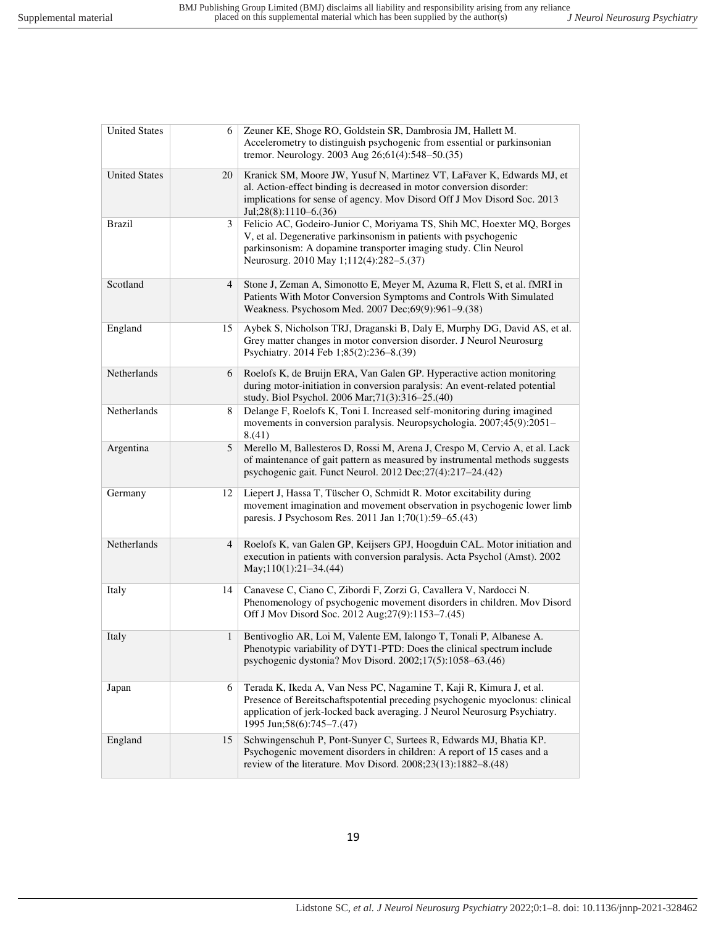| <b>United States</b> | 6            | Zeuner KE, Shoge RO, Goldstein SR, Dambrosia JM, Hallett M.<br>Accelerometry to distinguish psychogenic from essential or parkinsonian<br>tremor. Neurology. 2003 Aug 26;61(4):548-50.(35)                                                                       |
|----------------------|--------------|------------------------------------------------------------------------------------------------------------------------------------------------------------------------------------------------------------------------------------------------------------------|
| <b>United States</b> | 20           | Kranick SM, Moore JW, Yusuf N, Martinez VT, LaFaver K, Edwards MJ, et<br>al. Action-effect binding is decreased in motor conversion disorder:<br>implications for sense of agency. Mov Disord Off J Mov Disord Soc. 2013<br>Jul;28(8):1110–6.(36)                |
| <b>Brazil</b>        | 3            | Felicio AC, Godeiro-Junior C, Moriyama TS, Shih MC, Hoexter MQ, Borges<br>V, et al. Degenerative parkinsonism in patients with psychogenic<br>parkinsonism: A dopamine transporter imaging study. Clin Neurol<br>Neurosurg. 2010 May 1;112(4):282-5.(37)         |
| Scotland             | 4            | Stone J, Zeman A, Simonotto E, Meyer M, Azuma R, Flett S, et al. fMRI in<br>Patients With Motor Conversion Symptoms and Controls With Simulated<br>Weakness. Psychosom Med. 2007 Dec;69(9):961-9.(38)                                                            |
| England              | 15           | Aybek S, Nicholson TRJ, Draganski B, Daly E, Murphy DG, David AS, et al.<br>Grey matter changes in motor conversion disorder. J Neurol Neurosurg<br>Psychiatry. 2014 Feb 1;85(2):236-8.(39)                                                                      |
| Netherlands          | 6            | Roelofs K, de Bruijn ERA, Van Galen GP. Hyperactive action monitoring<br>during motor-initiation in conversion paralysis: An event-related potential<br>study. Biol Psychol. 2006 Mar; 71(3): 316-25.(40)                                                        |
| Netherlands          | 8            | Delange F, Roelofs K, Toni I. Increased self-monitoring during imagined<br>movements in conversion paralysis. Neuropsychologia. 2007;45(9):2051-<br>8.(41)                                                                                                       |
| Argentina            | 5            | Merello M, Ballesteros D, Rossi M, Arena J, Crespo M, Cervio A, et al. Lack<br>of maintenance of gait pattern as measured by instrumental methods suggests<br>psychogenic gait. Funct Neurol. 2012 Dec; 27(4): 217-24. (42)                                      |
| Germany              | 12           | Liepert J, Hassa T, Tüscher O, Schmidt R. Motor excitability during<br>movement imagination and movement observation in psychogenic lower limb<br>paresis. J Psychosom Res. 2011 Jan 1;70(1):59-65.(43)                                                          |
| Netherlands          | 4            | Roelofs K, van Galen GP, Keijsers GPJ, Hoogduin CAL. Motor initiation and<br>execution in patients with conversion paralysis. Acta Psychol (Amst). 2002<br>$May;110(1):21-34.(44)$                                                                               |
| Italy                | 14           | Canavese C, Ciano C, Zibordi F, Zorzi G, Cavallera V, Nardocci N.<br>Phenomenology of psychogenic movement disorders in children. Mov Disord<br>Off J Mov Disord Soc. 2012 Aug; 27(9): 1153-7.(45)                                                               |
| Italy                | $\mathbf{1}$ | Bentivoglio AR, Loi M, Valente EM, Ialongo T, Tonali P, Albanese A.<br>Phenotypic variability of DYT1-PTD: Does the clinical spectrum include<br>psychogenic dystonia? Mov Disord. 2002;17(5):1058-63.(46)                                                       |
| Japan                | 6            | Terada K, Ikeda A, Van Ness PC, Nagamine T, Kaji R, Kimura J, et al.<br>Presence of Bereitschaftspotential preceding psychogenic myoclonus: clinical<br>application of jerk-locked back averaging. J Neurol Neurosurg Psychiatry.<br>1995 Jun; 58(6): 745–7.(47) |
| England              | 15           | Schwingenschuh P, Pont-Sunyer C, Surtees R, Edwards MJ, Bhatia KP.<br>Psychogenic movement disorders in children: A report of 15 cases and a<br>review of the literature. Mov Disord. 2008;23(13):1882-8.(48)                                                    |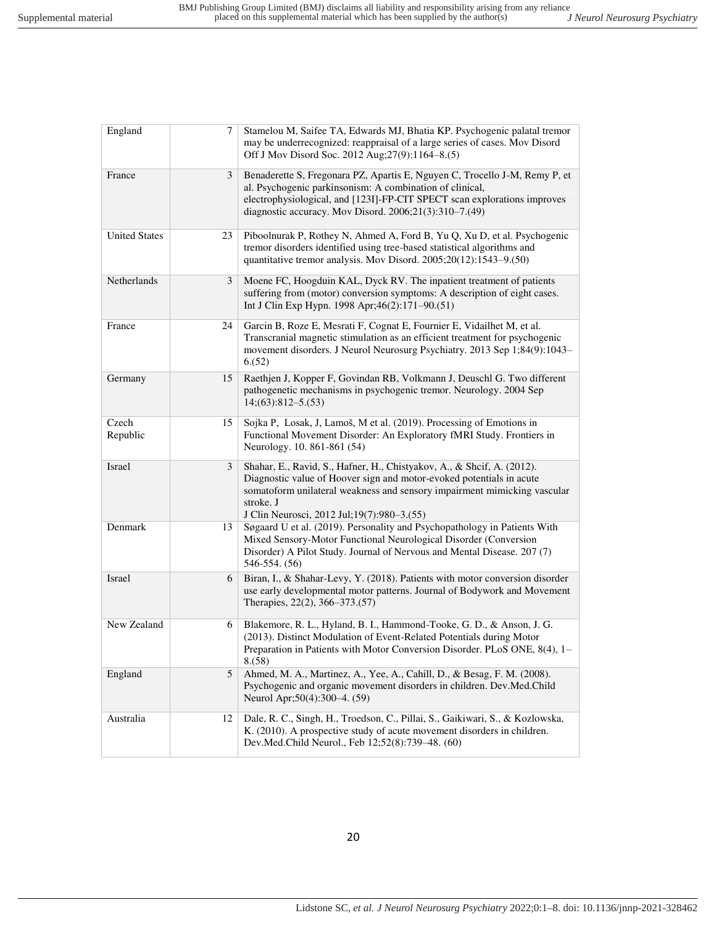| England              | 7  | Stamelou M, Saifee TA, Edwards MJ, Bhatia KP. Psychogenic palatal tremor<br>may be underrecognized: reappraisal of a large series of cases. Mov Disord<br>Off J Mov Disord Soc. 2012 Aug; 27(9):1164-8.(5)                                                                              |
|----------------------|----|-----------------------------------------------------------------------------------------------------------------------------------------------------------------------------------------------------------------------------------------------------------------------------------------|
| France               | 3  | Benaderette S, Fregonara PZ, Apartis E, Nguyen C, Trocello J-M, Remy P, et<br>al. Psychogenic parkinsonism: A combination of clinical,<br>electrophysiological, and [123I]-FP-CIT SPECT scan explorations improves<br>diagnostic accuracy. Mov Disord. 2006;21(3):310-7.(49)            |
| <b>United States</b> | 23 | Piboolnurak P, Rothey N, Ahmed A, Ford B, Yu Q, Xu D, et al. Psychogenic<br>tremor disorders identified using tree-based statistical algorithms and<br>quantitative tremor analysis. Mov Disord. 2005;20(12):1543-9.(50)                                                                |
| Netherlands          | 3  | Moene FC, Hoogduin KAL, Dyck RV. The inpatient treatment of patients<br>suffering from (motor) conversion symptoms: A description of eight cases.<br>Int J Clin Exp Hypn. 1998 Apr;46(2):171-90.(51)                                                                                    |
| France               | 24 | Garcin B, Roze E, Mesrati F, Cognat E, Fournier E, Vidailhet M, et al.<br>Transcranial magnetic stimulation as an efficient treatment for psychogenic<br>movement disorders. J Neurol Neurosurg Psychiatry. 2013 Sep 1;84(9):1043-<br>6(52)                                             |
| Germany              | 15 | Raethjen J, Kopper F, Govindan RB, Volkmann J, Deuschl G. Two different<br>pathogenetic mechanisms in psychogenic tremor. Neurology. 2004 Sep<br>$14(63):812-5(53)$                                                                                                                     |
| Czech<br>Republic    | 15 | Sojka P, Losak, J, Lamoš, M et al. (2019). Processing of Emotions in<br>Functional Movement Disorder: An Exploratory fMRI Study. Frontiers in<br>Neurology. 10. 861-861 (54)                                                                                                            |
| Israel               | 3  | Shahar, E., Ravid, S., Hafner, H., Chistyakov, A., & Shcif, A. (2012).<br>Diagnostic value of Hoover sign and motor-evoked potentials in acute<br>somatoform unilateral weakness and sensory impairment mimicking vascular<br>stroke. J<br>J Clin Neurosci, 2012 Jul; 19(7): 980–3.(55) |
| Denmark              | 13 | Søgaard U et al. (2019). Personality and Psychopathology in Patients With<br>Mixed Sensory-Motor Functional Neurological Disorder (Conversion<br>Disorder) A Pilot Study. Journal of Nervous and Mental Disease. 207 (7)<br>546-554. (56)                                               |
| Israel               | 6  | Biran, I., & Shahar-Levy, Y. (2018). Patients with motor conversion disorder<br>use early developmental motor patterns. Journal of Bodywork and Movement<br>Therapies, 22(2), 366–373.(57)                                                                                              |
| New Zealand          | 6  | Blakemore, R. L., Hyland, B. I., Hammond-Tooke, G. D., & Anson, J. G.<br>(2013). Distinct Modulation of Event-Related Potentials during Motor<br>Preparation in Patients with Motor Conversion Disorder. PLoS ONE, 8(4), 1-<br>8. (58)                                                  |
| England              | 5  | Ahmed, M. A., Martinez, A., Yee, A., Cahill, D., & Besag, F. M. (2008).<br>Psychogenic and organic movement disorders in children. Dev.Med.Child<br>Neurol Apr; 50(4): 300–4. (59)                                                                                                      |
| Australia            | 12 | Dale, R. C., Singh, H., Troedson, C., Pillai, S., Gaikiwari, S., & Kozlowska,<br>K. (2010). A prospective study of acute movement disorders in children.<br>Dev.Med.Child Neurol., Feb 12;52(8):739–48. (60)                                                                            |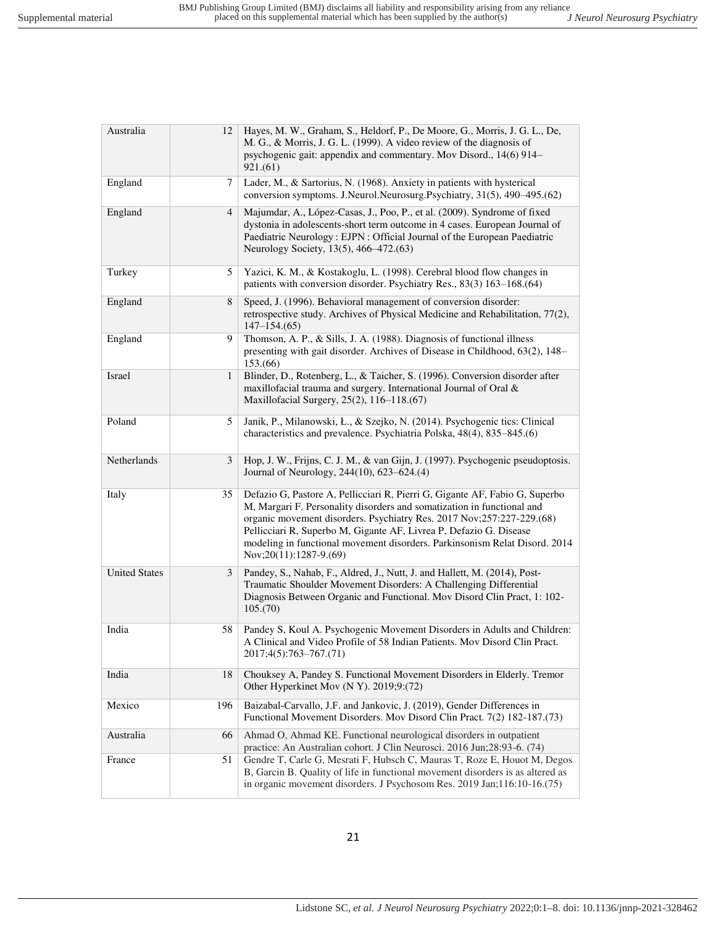| Australia            | 12             | Hayes, M. W., Graham, S., Heldorf, P., De Moore, G., Morris, J. G. L., De,<br>M. G., & Morris, J. G. L. (1999). A video review of the diagnosis of<br>psychogenic gait: appendix and commentary. Mov Disord., 14(6) 914-<br>921.(61)                                                                                                                                                                               |
|----------------------|----------------|--------------------------------------------------------------------------------------------------------------------------------------------------------------------------------------------------------------------------------------------------------------------------------------------------------------------------------------------------------------------------------------------------------------------|
| England              | 7              | Lader, M., & Sartorius, N. (1968). Anxiety in patients with hysterical<br>conversion symptoms. J.Neurol.Neurosurg.Psychiatry, 31(5), 490-495.(62)                                                                                                                                                                                                                                                                  |
| England              | $\overline{4}$ | Majumdar, A., López-Casas, J., Poo, P., et al. (2009). Syndrome of fixed<br>dystonia in adolescents-short term outcome in 4 cases. European Journal of<br>Paediatric Neurology: EJPN: Official Journal of the European Paediatric<br>Neurology Society, 13(5), 466–472.(63)                                                                                                                                        |
| Turkey               | 5              | Yazici, K. M., & Kostakoglu, L. (1998). Cerebral blood flow changes in<br>patients with conversion disorder. Psychiatry Res., 83(3) 163-168.(64)                                                                                                                                                                                                                                                                   |
| England              | 8              | Speed, J. (1996). Behavioral management of conversion disorder:<br>retrospective study. Archives of Physical Medicine and Rehabilitation, 77(2),<br>$147 - 154(65)$                                                                                                                                                                                                                                                |
| England              | 9              | Thomson, A. P., & Sills, J. A. (1988). Diagnosis of functional illness<br>presenting with gait disorder. Archives of Disease in Childhood, 63(2), 148-<br>153(66)                                                                                                                                                                                                                                                  |
| Israel               | $\mathbf{1}$   | Blinder, D., Rotenberg, L., & Taicher, S. (1996). Conversion disorder after<br>maxillofacial trauma and surgery. International Journal of Oral &<br>Maxillofacial Surgery, 25(2), 116–118.(67)                                                                                                                                                                                                                     |
| Poland               | 5              | Janik, P., Milanowski, Ł., & Szejko, N. (2014). Psychogenic tics: Clinical<br>characteristics and prevalence. Psychiatria Polska, 48(4), 835–845.(6)                                                                                                                                                                                                                                                               |
| Netherlands          | 3              | Hop, J. W., Frijns, C. J. M., & van Gijn, J. (1997). Psychogenic pseudoptosis.<br>Journal of Neurology, 244(10), 623-624.(4)                                                                                                                                                                                                                                                                                       |
| Italy                | 35             | Defazio G, Pastore A, Pellicciari R, Pierri G, Gigante AF, Fabio G, Superbo<br>M, Margari F. Personality disorders and somatization in functional and<br>organic movement disorders. Psychiatry Res. 2017 Nov;257:227-229.(68)<br>Pellicciari R, Superbo M, Gigante AF, Livrea P, Defazio G. Disease<br>modeling in functional movement disorders. Parkinsonism Relat Disord. 2014<br>Nov; $20(11)$ : $1287-9(69)$ |
| <b>United States</b> | 3              | Pandey, S., Nahab, F., Aldred, J., Nutt, J. and Hallett, M. (2014), Post-<br>Traumatic Shoulder Movement Disorders: A Challenging Differential<br>Diagnosis Between Organic and Functional. Mov Disord Clin Pract, 1: 102-<br>105.(70)                                                                                                                                                                             |
| India                | 58             | Pandey S, Koul A. Psychogenic Movement Disorders in Adults and Children:<br>A Clinical and Video Profile of 58 Indian Patients. Mov Disord Clin Pract.<br>2017;4(5):763-767.(71)                                                                                                                                                                                                                                   |
| India                | 18             | Chouksey A, Pandey S. Functional Movement Disorders in Elderly. Tremor<br>Other Hyperkinet Mov (N Y). 2019;9:(72)                                                                                                                                                                                                                                                                                                  |
| Mexico               | 196            | Baizabal-Carvallo, J.F. and Jankovic, J. (2019), Gender Differences in<br>Functional Movement Disorders. Mov Disord Clin Pract. 7(2) 182-187.(73)                                                                                                                                                                                                                                                                  |
| Australia            | 66             | Ahmad O, Ahmad KE. Functional neurological disorders in outpatient<br>practice: An Australian cohort. J Clin Neurosci. 2016 Jun;28:93-6. (74)                                                                                                                                                                                                                                                                      |
| France               | 51             | Gendre T, Carle G, Mesrati F, Hubsch C, Mauras T, Roze E, Houot M, Degos<br>B, Garcin B. Quality of life in functional movement disorders is as altered as<br>in organic movement disorders. J Psychosom Res. 2019 Jan;116:10-16.(75)                                                                                                                                                                              |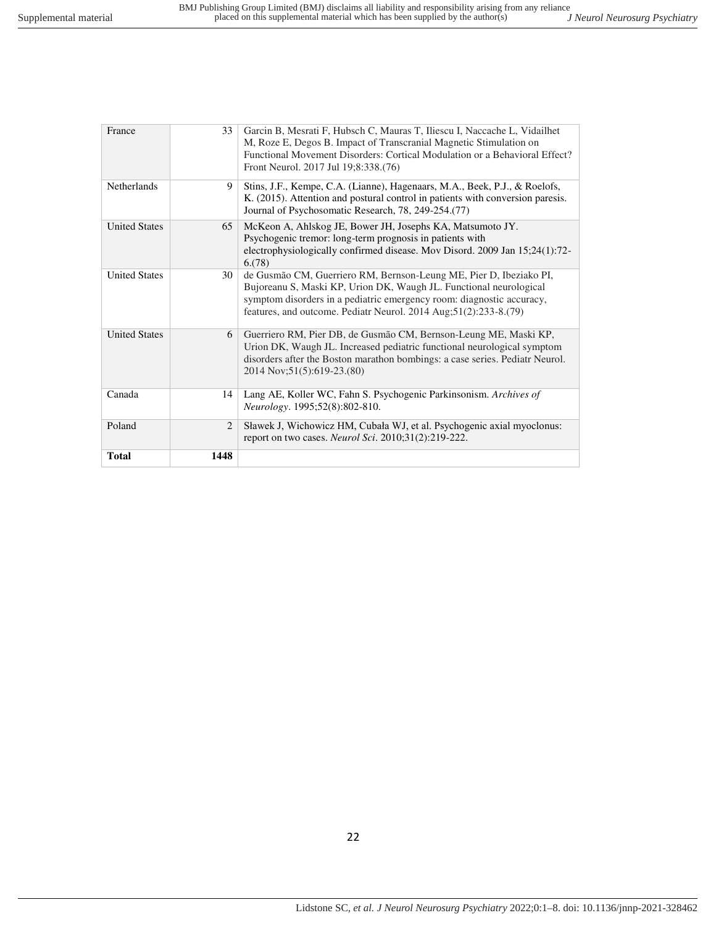| <b>Total</b>         | 1448 |                                                                                                                                                                                                                                                                                       |
|----------------------|------|---------------------------------------------------------------------------------------------------------------------------------------------------------------------------------------------------------------------------------------------------------------------------------------|
| Poland               | 2    | Sławek J, Wichowicz HM, Cubała WJ, et al. Psychogenic axial myoclonus:<br>report on two cases. <i>Neurol Sci.</i> 2010;31(2):219-222.                                                                                                                                                 |
| Canada               | 14   | Lang AE, Koller WC, Fahn S. Psychogenic Parkinsonism. Archives of<br>Neurology. 1995;52(8):802-810.                                                                                                                                                                                   |
| <b>United States</b> | 6    | Guerriero RM, Pier DB, de Gusmão CM, Bernson-Leung ME, Maski KP,<br>Urion DK, Waugh JL. Increased pediatric functional neurological symptom<br>disorders after the Boston marathon bombings: a case series. Pediatr Neurol.<br>2014 Nov; 51(5): 619-23. (80)                          |
| <b>United States</b> | 30   | de Gusmão CM, Guerriero RM, Bernson-Leung ME, Pier D, Ibeziako PI,<br>Bujoreanu S, Maski KP, Urion DK, Waugh JL. Functional neurological<br>symptom disorders in a pediatric emergency room: diagnostic accuracy,<br>features, and outcome. Pediatr Neurol. 2014 Aug;51(2):233-8.(79) |
| <b>United States</b> | 65   | McKeon A, Ahlskog JE, Bower JH, Josephs KA, Matsumoto JY.<br>Psychogenic tremor: long-term prognosis in patients with<br>electrophysiologically confirmed disease. Mov Disord. 2009 Jan 15;24(1):72-<br>6(78)                                                                         |
| Netherlands          | 9    | Stins, J.F., Kempe, C.A. (Lianne), Hagenaars, M.A., Beek, P.J., & Roelofs,<br>K. (2015). Attention and postural control in patients with conversion paresis.<br>Journal of Psychosomatic Research, 78, 249-254.(77)                                                                   |
| France               | 33   | Garcin B, Mesrati F, Hubsch C, Mauras T, Iliescu I, Naccache L, Vidailhet<br>M, Roze E, Degos B. Impact of Transcranial Magnetic Stimulation on<br>Functional Movement Disorders: Cortical Modulation or a Behavioral Effect?<br>Front Neurol. 2017 Jul 19;8:338.(76)                 |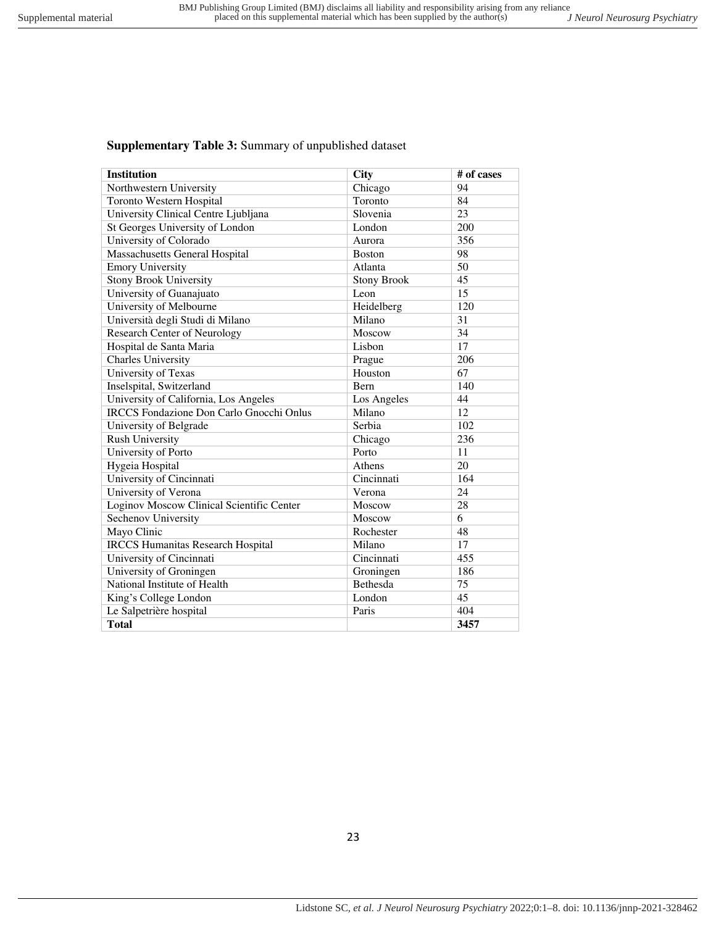# **Supplementary Table 3:** Summary of unpublished dataset

| <b>Institution</b>                              | <b>City</b>        | # of cases |
|-------------------------------------------------|--------------------|------------|
| Northwestern University                         | Chicago            | 94         |
| <b>Toronto Western Hospital</b>                 | Toronto            | 84         |
| University Clinical Centre Ljubljana            | Slovenia           | 23         |
| St Georges University of London                 | London             | 200        |
| University of Colorado                          | Aurora             | 356        |
| <b>Massachusetts General Hospital</b>           | <b>Boston</b>      | 98         |
| <b>Emory University</b>                         | Atlanta            | 50         |
| <b>Stony Brook University</b>                   | <b>Stony Brook</b> | 45         |
| University of Guanajuato                        | Leon               | 15         |
| University of Melbourne                         | Heidelberg         | 120        |
| Università degli Studi di Milano                | Milano             | 31         |
| <b>Research Center of Neurology</b>             | Moscow             | 34         |
| Hospital de Santa Maria                         | Lisbon             | 17         |
| Charles University                              | Prague             | 206        |
| University of Texas                             | Houston            | 67         |
| Inselspital, Switzerland                        | Bern               | 140        |
| University of California, Los Angeles           | Los Angeles        | 44         |
| <b>IRCCS</b> Fondazione Don Carlo Gnocchi Onlus | Milano             | 12         |
| University of Belgrade                          | Serbia             | 102        |
| <b>Rush University</b>                          | Chicago            | 236        |
| University of Porto                             | Porto              | 11         |
| Hygeia Hospital                                 | Athens             | 20         |
| University of Cincinnati                        | Cincinnati         | 164        |
| University of Verona                            | Verona             | 24         |
| Loginov Moscow Clinical Scientific Center       | Moscow             | 28         |
| Sechenov University                             | Moscow             | 6          |
| Mayo Clinic                                     | Rochester          | 48         |
| <b>IRCCS Humanitas Research Hospital</b>        | Milano             | 17         |
| University of Cincinnati                        | Cincinnati         | 455        |
| University of Groningen                         | Groningen          | 186        |
| National Institute of Health                    | Bethesda           | 75         |
| King's College London                           | London             | 45         |
| Le Salpetrière hospital                         | Paris              | 404        |
| <b>Total</b>                                    |                    | 3457       |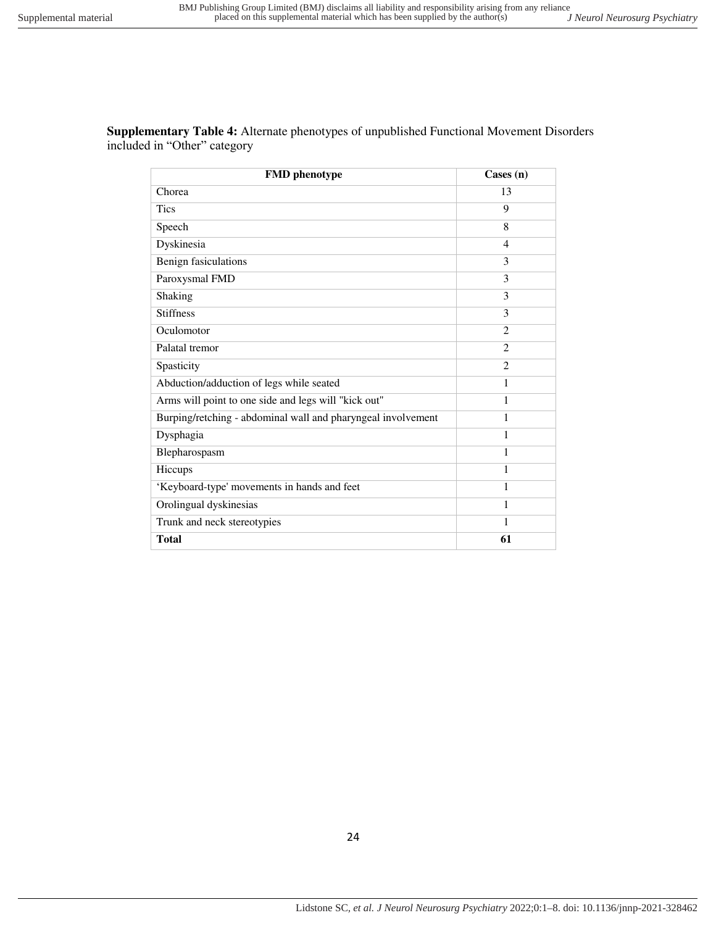| <b>FMD</b> phenotype                                         | $\text{Case}(n)$              |
|--------------------------------------------------------------|-------------------------------|
| Chorea                                                       | 13                            |
| <b>Tics</b>                                                  | 9                             |
| Speech                                                       | 8                             |
| Dyskinesia                                                   | $\overline{4}$                |
| Benign fasiculations                                         | 3                             |
| Paroxysmal FMD                                               | 3                             |
| <b>Shaking</b>                                               | $\mathcal{F}$                 |
| <b>Stiffness</b>                                             | 3                             |
| Oculomotor                                                   | 2                             |
| Palatal tremor                                               | $\mathfrak{D}_{\mathfrak{p}}$ |
| Spasticity                                                   | 2                             |
| Abduction/adduction of legs while seated                     |                               |
| Arms will point to one side and legs will "kick out"         | 1                             |
| Burping/retching - abdominal wall and pharyngeal involvement | 1                             |
| Dysphagia                                                    |                               |

Blepharospasm 1 Hiccups 1 'Keyboard-type' movements in hands and feet 1 Orolingual dyskinesias 1 Trunk and neck stereotypies 1 **Total** 61

**Supplementary Table 4:** Alternate phenotypes of unpublished Functional Movement Disorders included in "Other" category